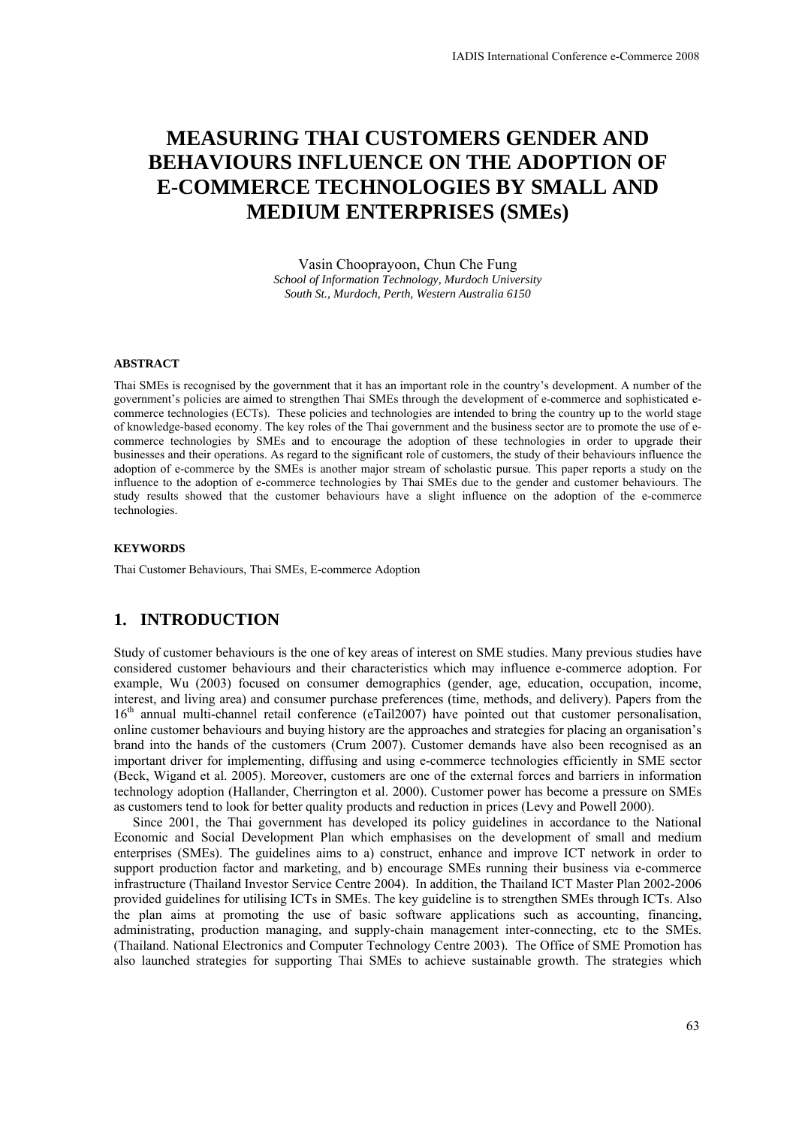# **MEASURING THAI CUSTOMERS GENDER AND BEHAVIOURS INFLUENCE ON THE ADOPTION OF E-COMMERCE TECHNOLOGIES BY SMALL AND MEDIUM ENTERPRISES (SMEs)**

Vasin Chooprayoon, Chun Che Fung *School of Information Technology, Murdoch University South St., Murdoch, Perth, Western Australia 6150* 

#### **ABSTRACT**

Thai SMEs is recognised by the government that it has an important role in the country's development. A number of the government's policies are aimed to strengthen Thai SMEs through the development of e-commerce and sophisticated ecommerce technologies (ECTs). These policies and technologies are intended to bring the country up to the world stage of knowledge-based economy. The key roles of the Thai government and the business sector are to promote the use of ecommerce technologies by SMEs and to encourage the adoption of these technologies in order to upgrade their businesses and their operations. As regard to the significant role of customers, the study of their behaviours influence the adoption of e-commerce by the SMEs is another major stream of scholastic pursue. This paper reports a study on the influence to the adoption of e-commerce technologies by Thai SMEs due to the gender and customer behaviours. The study results showed that the customer behaviours have a slight influence on the adoption of the e-commerce technologies.

#### **KEYWORDS**

Thai Customer Behaviours, Thai SMEs, E-commerce Adoption

## **1. INTRODUCTION**

Study of customer behaviours is the one of key areas of interest on SME studies. Many previous studies have considered customer behaviours and their characteristics which may influence e-commerce adoption. For example, Wu (2003) focused on consumer demographics (gender, age, education, occupation, income, interest, and living area) and consumer purchase preferences (time, methods, and delivery). Papers from the 16<sup>th</sup> annual multi-channel retail conference (eTail2007) have pointed out that customer personalisation, online customer behaviours and buying history are the approaches and strategies for placing an organisation's brand into the hands of the customers (Crum 2007). Customer demands have also been recognised as an important driver for implementing, diffusing and using e-commerce technologies efficiently in SME sector (Beck, Wigand et al. 2005). Moreover, customers are one of the external forces and barriers in information technology adoption (Hallander, Cherrington et al. 2000). Customer power has become a pressure on SMEs as customers tend to look for better quality products and reduction in prices (Levy and Powell 2000).

Since 2001, the Thai government has developed its policy guidelines in accordance to the National Economic and Social Development Plan which emphasises on the development of small and medium enterprises (SMEs). The guidelines aims to a) construct, enhance and improve ICT network in order to support production factor and marketing, and b) encourage SMEs running their business via e-commerce infrastructure (Thailand Investor Service Centre 2004). In addition, the Thailand ICT Master Plan 2002-2006 provided guidelines for utilising ICTs in SMEs. The key guideline is to strengthen SMEs through ICTs. Also the plan aims at promoting the use of basic software applications such as accounting, financing, administrating, production managing, and supply-chain management inter-connecting, etc to the SMEs. (Thailand. National Electronics and Computer Technology Centre 2003). The Office of SME Promotion has also launched strategies for supporting Thai SMEs to achieve sustainable growth. The strategies which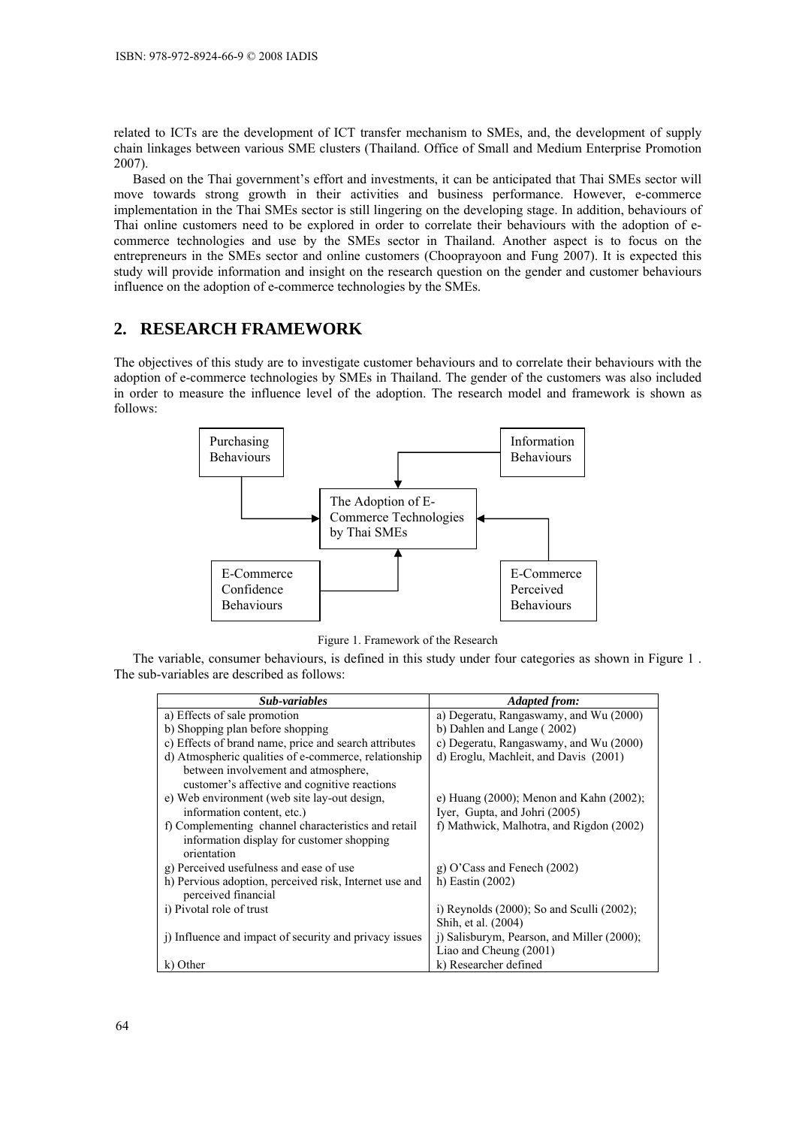related to ICTs are the development of ICT transfer mechanism to SMEs, and, the development of supply chain linkages between various SME clusters (Thailand. Office of Small and Medium Enterprise Promotion 2007).

Based on the Thai government's effort and investments, it can be anticipated that Thai SMEs sector will move towards strong growth in their activities and business performance. However, e-commerce implementation in the Thai SMEs sector is still lingering on the developing stage. In addition, behaviours of Thai online customers need to be explored in order to correlate their behaviours with the adoption of ecommerce technologies and use by the SMEs sector in Thailand. Another aspect is to focus on the entrepreneurs in the SMEs sector and online customers (Chooprayoon and Fung 2007). It is expected this study will provide information and insight on the research question on the gender and customer behaviours influence on the adoption of e-commerce technologies by the SMEs.

# **2. RESEARCH FRAMEWORK**

The objectives of this study are to investigate customer behaviours and to correlate their behaviours with the adoption of e-commerce technologies by SMEs in Thailand. The gender of the customers was also included in order to measure the influence level of the adoption. The research model and framework is shown as follows:



Figure 1. Framework of the Research

The variable, consumer behaviours, is defined in this study under four categories as shown in Figure 1 . The sub-variables are described as follows:

| Sub-variables                                          | <b>Adapted from:</b>                            |
|--------------------------------------------------------|-------------------------------------------------|
| a) Effects of sale promotion                           | a) Degeratu, Rangaswamy, and Wu (2000)          |
| b) Shopping plan before shopping                       | b) Dahlen and Lange (2002)                      |
| c) Effects of brand name, price and search attributes  | c) Degeratu, Rangaswamy, and Wu (2000)          |
| d) Atmospheric qualities of e-commerce, relationship   | d) Eroglu, Machleit, and Davis (2001)           |
| between involvement and atmosphere,                    |                                                 |
| customer's affective and cognitive reactions           |                                                 |
| e) Web environment (web site lay-out design,           | e) Huang (2000); Menon and Kahn (2002);         |
| information content, etc.)                             | Iyer, Gupta, and Johri (2005)                   |
| f) Complementing channel characteristics and retail    | f) Mathwick, Malhotra, and Rigdon (2002)        |
| information display for customer shopping              |                                                 |
| orientation                                            |                                                 |
| g) Perceived usefulness and ease of use                | g) O'Cass and Fenech $(2002)$                   |
| h) Pervious adoption, perceived risk, Internet use and | h) Eastin $(2002)$                              |
| perceived financial                                    |                                                 |
| i) Pivotal role of trust                               | i) Reynolds $(2000)$ ; So and Sculli $(2002)$ ; |
|                                                        | Shih, et al. (2004)                             |
| i) Influence and impact of security and privacy issues | i) Salisburym, Pearson, and Miller (2000);      |
|                                                        | Liao and Cheung (2001)                          |
| k) Other                                               | k) Researcher defined                           |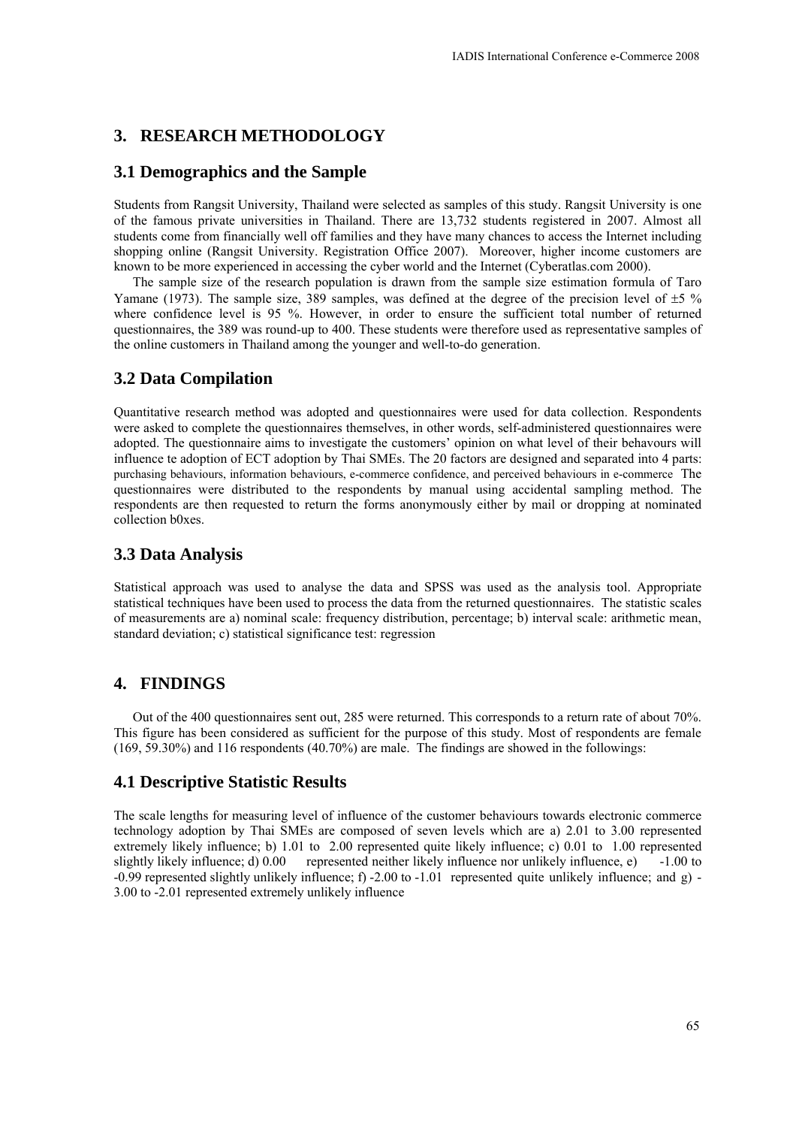# **3. RESEARCH METHODOLOGY**

#### **3.1 Demographics and the Sample**

Students from Rangsit University, Thailand were selected as samples of this study. Rangsit University is one of the famous private universities in Thailand. There are 13,732 students registered in 2007. Almost all students come from financially well off families and they have many chances to access the Internet including shopping online (Rangsit University. Registration Office 2007). Moreover, higher income customers are known to be more experienced in accessing the cyber world and the Internet (Cyberatlas.com 2000).

The sample size of the research population is drawn from the sample size estimation formula of Taro Yamane (1973). The sample size, 389 samples, was defined at the degree of the precision level of  $\pm 5\%$ where confidence level is 95 %. However, in order to ensure the sufficient total number of returned questionnaires, the 389 was round-up to 400. These students were therefore used as representative samples of the online customers in Thailand among the younger and well-to-do generation.

## **3.2 Data Compilation**

Quantitative research method was adopted and questionnaires were used for data collection. Respondents were asked to complete the questionnaires themselves, in other words, self-administered questionnaires were adopted. The questionnaire aims to investigate the customers' opinion on what level of their behavours will influence te adoption of ECT adoption by Thai SMEs. The 20 factors are designed and separated into 4 parts: purchasing behaviours, information behaviours, e-commerce confidence, and perceived behaviours in e-commerce The questionnaires were distributed to the respondents by manual using accidental sampling method. The respondents are then requested to return the forms anonymously either by mail or dropping at nominated collection b0xes.

#### **3.3 Data Analysis**

Statistical approach was used to analyse the data and SPSS was used as the analysis tool. Appropriate statistical techniques have been used to process the data from the returned questionnaires. The statistic scales of measurements are a) nominal scale: frequency distribution, percentage; b) interval scale: arithmetic mean, standard deviation; c) statistical significance test: regression

# **4. FINDINGS**

 Out of the 400 questionnaires sent out, 285 were returned. This corresponds to a return rate of about 70%. This figure has been considered as sufficient for the purpose of this study. Most of respondents are female (169, 59.30%) and 116 respondents (40.70%) are male. The findings are showed in the followings:

# **4.1 Descriptive Statistic Results**

The scale lengths for measuring level of influence of the customer behaviours towards electronic commerce technology adoption by Thai SMEs are composed of seven levels which are a) 2.01 to 3.00 represented extremely likely influence; b) 1.01 to 2.00 represented quite likely influence; c) 0.01 to 1.00 represented slightly likely influence; d) 0.00 represented neither likely influence nor unlikely influence, e) -1.00 to -0.99 represented slightly unlikely influence; f) -2.00 to -1.01 represented quite unlikely influence; and g) - 3.00 to -2.01 represented extremely unlikely influence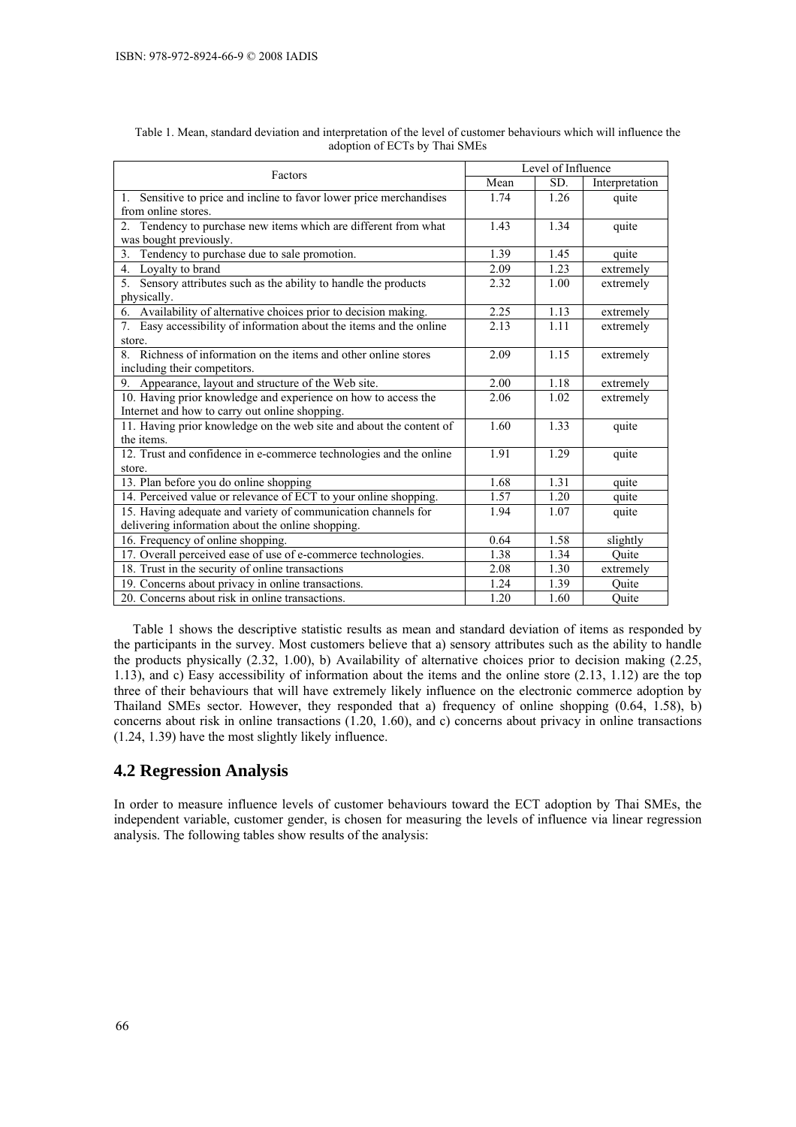|                                                                     | Level of Influence |      |                |  |  |
|---------------------------------------------------------------------|--------------------|------|----------------|--|--|
| Factors                                                             | Mean               | SD.  | Interpretation |  |  |
| 1. Sensitive to price and incline to favor lower price merchandises | 1.74               | 1.26 | quite          |  |  |
| from online stores.                                                 |                    |      |                |  |  |
| 2. Tendency to purchase new items which are different from what     | 1.43               | 1.34 | quite          |  |  |
| was bought previously.                                              |                    |      |                |  |  |
| Tendency to purchase due to sale promotion.<br>3.                   | 1.39               | 1.45 | quite          |  |  |
| 4. Loyalty to brand                                                 | 2.09               | 1.23 | extremely      |  |  |
| 5. Sensory attributes such as the ability to handle the products    | 2.32               | 1.00 | extremely      |  |  |
| physically.                                                         |                    |      |                |  |  |
| 6. Availability of alternative choices prior to decision making.    | 2.25               | 1.13 | extremely      |  |  |
| Easy accessibility of information about the items and the online    | 2.13               | 1.11 | extremely      |  |  |
| store.                                                              |                    |      |                |  |  |
| Richness of information on the items and other online stores        | 2.09               | 1.15 | extremely      |  |  |
| including their competitors.                                        |                    |      |                |  |  |
| 9. Appearance, layout and structure of the Web site.                | 2.00               | 1.18 | extremely      |  |  |
| 10. Having prior knowledge and experience on how to access the      | 2.06               | 1.02 | extremely      |  |  |
| Internet and how to carry out online shopping.                      |                    |      |                |  |  |
| 11. Having prior knowledge on the web site and about the content of | 1.60               | 1.33 | quite          |  |  |
| the items.                                                          |                    |      |                |  |  |
| 12. Trust and confidence in e-commerce technologies and the online  | 1.91               | 1.29 | quite          |  |  |
| store.                                                              |                    |      |                |  |  |
| 13. Plan before you do online shopping                              | 1.68               | 1.31 | quite          |  |  |
| 14. Perceived value or relevance of ECT to your online shopping.    | 1.57               | 1.20 | quite          |  |  |
| 15. Having adequate and variety of communication channels for       | 1.94               | 1.07 | quite          |  |  |
| delivering information about the online shopping.                   |                    |      |                |  |  |
| 16. Frequency of online shopping.                                   | 0.64               | 1.58 | slightly       |  |  |
| 17. Overall perceived ease of use of e-commerce technologies.       | 1.38               | 1.34 | Ouite          |  |  |
| 18. Trust in the security of online transactions                    | 2.08               | 1.30 | extremely      |  |  |
| 19. Concerns about privacy in online transactions.                  | 1.24               | 1.39 | Quite          |  |  |
| 20. Concerns about risk in online transactions.                     | 1.20               | 1.60 | Quite          |  |  |

| Table 1. Mean, standard deviation and interpretation of the level of customer behaviours which will influence the |
|-------------------------------------------------------------------------------------------------------------------|
| adoption of ECTs by Thai SMEs                                                                                     |

Table 1 shows the descriptive statistic results as mean and standard deviation of items as responded by the participants in the survey. Most customers believe that a) sensory attributes such as the ability to handle the products physically (2.32, 1.00), b) Availability of alternative choices prior to decision making (2.25, 1.13), and c) Easy accessibility of information about the items and the online store (2.13, 1.12) are the top three of their behaviours that will have extremely likely influence on the electronic commerce adoption by Thailand SMEs sector. However, they responded that a) frequency of online shopping (0.64, 1.58), b) concerns about risk in online transactions (1.20, 1.60), and c) concerns about privacy in online transactions (1.24, 1.39) have the most slightly likely influence.

# **4.2 Regression Analysis**

In order to measure influence levels of customer behaviours toward the ECT adoption by Thai SMEs, the independent variable, customer gender, is chosen for measuring the levels of influence via linear regression analysis. The following tables show results of the analysis: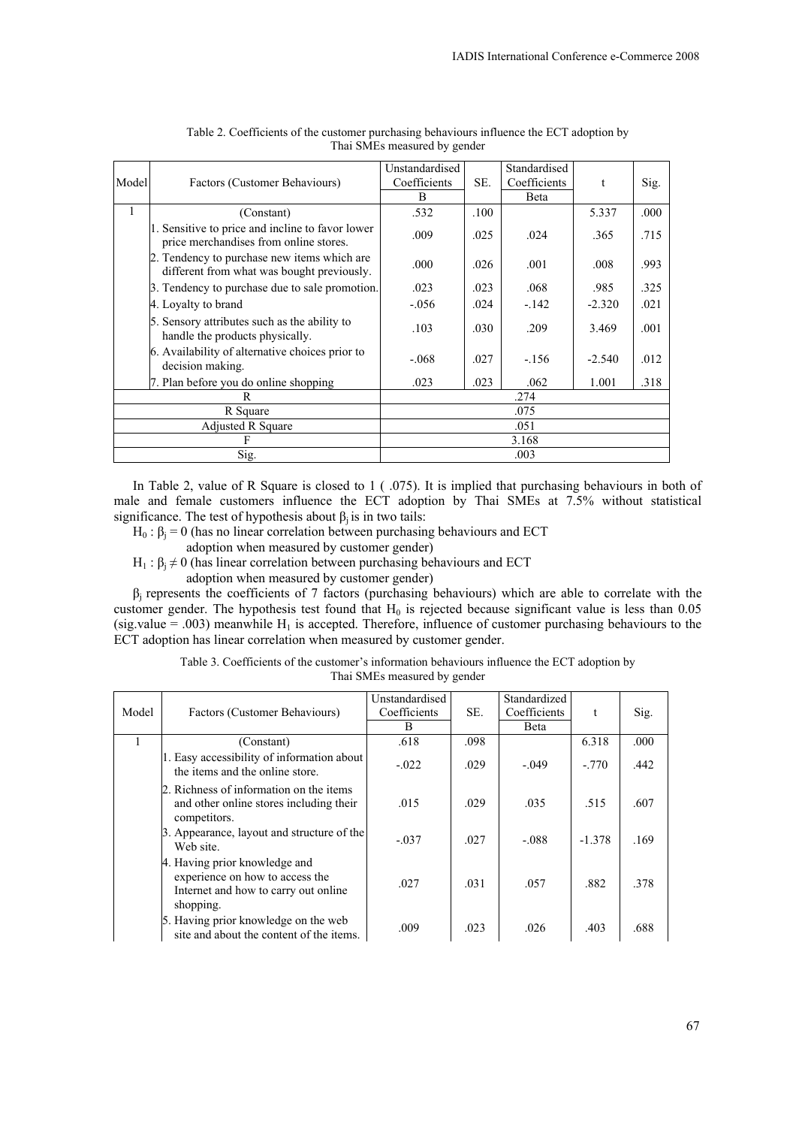|       |                                                                                            | Unstandardised |      | Standardised |          |      |
|-------|--------------------------------------------------------------------------------------------|----------------|------|--------------|----------|------|
| Model | Factors (Customer Behaviours)                                                              | Coefficients   | SE.  | Coefficients | t        | Sig. |
|       |                                                                                            | B              |      | Beta         |          |      |
|       | (Constant)                                                                                 | .532           | .100 |              | 5.337    | .000 |
|       | 1. Sensitive to price and incline to favor lower<br>price merchandises from online stores. | .009           | .025 | .024         | .365     | .715 |
|       | 2. Tendency to purchase new items which are<br>different from what was bought previously.  | .000           | .026 | .001         | .008     | .993 |
|       | 3. Tendency to purchase due to sale promotion.                                             | .023           | .023 | .068         | .985     | .325 |
|       | 4. Loyalty to brand                                                                        | $-.056$        | .024 | $-142$       | $-2.320$ | .021 |
|       | 5. Sensory attributes such as the ability to<br>handle the products physically.            | .103           | .030 | .209         | 3.469    | .001 |
|       | 6. Availability of alternative choices prior to<br>decision making.                        | $-.068$        | .027 | $-156$       | $-2.540$ | .012 |
|       | 7. Plan before you do online shopping                                                      | .023           | .023 | .062         | 1.001    | .318 |
|       | R                                                                                          |                |      | .274         |          |      |
|       | R Square                                                                                   |                |      | .075         |          |      |
|       | <b>Adjusted R Square</b>                                                                   |                |      | .051         |          |      |
|       | F                                                                                          |                |      | 3.168        |          |      |
|       | Sig.                                                                                       |                |      | .003         |          |      |

| Table 2. Coefficients of the customer purchasing behaviours influence the ECT adoption by |
|-------------------------------------------------------------------------------------------|
| Thai SMEs measured by gender                                                              |

In Table 2, value of R Square is closed to 1 ( .075). It is implied that purchasing behaviours in both of male and female customers influence the ECT adoption by Thai SMEs at 7.5% without statistical significance. The test of hypothesis about  $\beta_i$  is in two tails:

- $H_0$ : β<sub>i</sub> = 0 (has no linear correlation between purchasing behaviours and ECT
	- adoption when measured by customer gender)
- $H_1$ : β<sub>i</sub>  $\neq$  0 (has linear correlation between purchasing behaviours and ECT
	- adoption when measured by customer gender)

 $β<sub>i</sub>$  represents the coefficients of 7 factors (purchasing behaviours) which are able to correlate with the customer gender. The hypothesis test found that  $H_0$  is rejected because significant value is less than 0.05 (sig.value = .003) meanwhile  $H_1$  is accepted. Therefore, influence of customer purchasing behaviours to the ECT adoption has linear correlation when measured by customer gender.

| Table 3. Coefficients of the customer's information behaviours influence the ECT adoption by |
|----------------------------------------------------------------------------------------------|
| Thai SMEs measured by gender                                                                 |
|                                                                                              |

|       |                                                                                                                       | Unstandardised |      | Standardized |          |      |
|-------|-----------------------------------------------------------------------------------------------------------------------|----------------|------|--------------|----------|------|
| Model | Factors (Customer Behaviours)                                                                                         | Coefficients   | SE.  | Coefficients |          | Sig. |
|       |                                                                                                                       | B              |      | Beta         |          |      |
|       | (Constant)                                                                                                            | .618           | .098 |              | 6.318    | .000 |
|       | 1. Easy accessibility of information about<br>the items and the online store.                                         | $-.022$        | .029 | $-.049$      | $-.770$  | .442 |
|       | 2. Richness of information on the items<br>and other online stores including their<br>competitors.                    | .015           | .029 | .035         | .515     | .607 |
|       | 3. Appearance, layout and structure of the<br>Web site.                                                               | $-.037$        | .027 | $-.088$      | $-1.378$ | .169 |
|       | 4. Having prior knowledge and<br>experience on how to access the<br>Internet and how to carry out online<br>shopping. | .027           | .031 | .057         | .882     | .378 |
|       | 5. Having prior knowledge on the web<br>site and about the content of the items.                                      | .009           | .023 | .026         | .403     | .688 |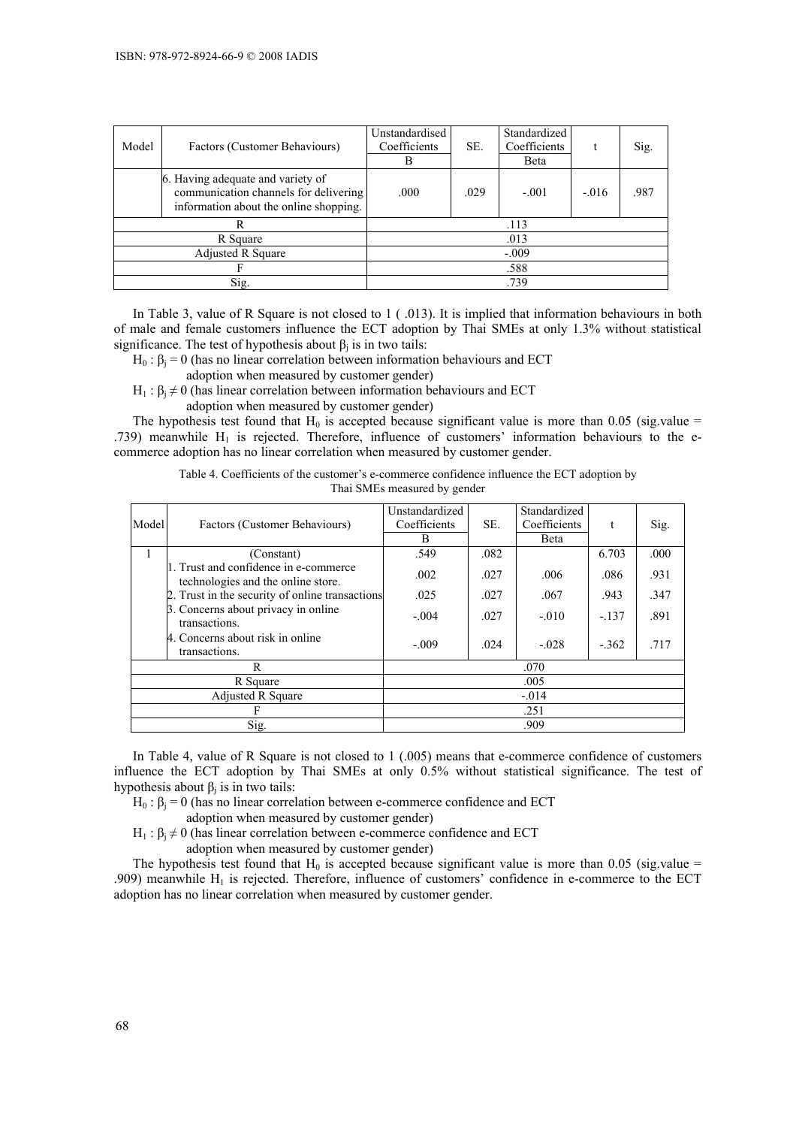| Model    | Factors (Customer Behaviours)                                                                                        | Unstandardised<br>Coefficients<br>В | SE.  | Standardized<br>Coefficients<br><b>B</b> eta |         | Sig. |
|----------|----------------------------------------------------------------------------------------------------------------------|-------------------------------------|------|----------------------------------------------|---------|------|
|          | 6. Having adequate and variety of<br>communication channels for delivering<br>information about the online shopping. | .000                                | .029 | $-.001$                                      | $-.016$ | .987 |
|          | R                                                                                                                    |                                     |      | .113                                         |         |      |
| R Square |                                                                                                                      |                                     |      | .013                                         |         |      |
|          | Adjusted R Square                                                                                                    |                                     |      | $-.009$                                      |         |      |
|          |                                                                                                                      |                                     |      | .588                                         |         |      |
|          | Sig.                                                                                                                 |                                     |      | .739                                         |         |      |

In Table 3, value of R Square is not closed to 1 (.013). It is implied that information behaviours in both of male and female customers influence the ECT adoption by Thai SMEs at only 1.3% without statistical significance. The test of hypothesis about  $\beta_i$  is in two tails:

 $H_0$ :  $\beta_i = 0$  (has no linear correlation between information behaviours and ECT

adoption when measured by customer gender)

 $H_1$ :  $\beta_i \neq 0$  (has linear correlation between information behaviours and ECT

adoption when measured by customer gender)

The hypothesis test found that  $H_0$  is accepted because significant value is more than 0.05 (sig.value = .739) meanwhile  $H_1$  is rejected. Therefore, influence of customers' information behaviours to the ecommerce adoption has no linear correlation when measured by customer gender.

| Thai SMEs measured by gender |                                                                             |                                     |      |                                      |         |      |
|------------------------------|-----------------------------------------------------------------------------|-------------------------------------|------|--------------------------------------|---------|------|
| Model                        | Factors (Customer Behaviours)                                               | Unstandardized<br>Coefficients<br>B | SE.  | Standardized<br>Coefficients<br>Beta | t       | Sig. |
|                              | (Constant)                                                                  | .549                                | .082 |                                      | 6.703   | .000 |
|                              | 1. Trust and confidence in e-commerce<br>technologies and the online store. | .002                                | .027 | .006                                 | .086    | .931 |
|                              | 2. Trust in the security of online transactions                             | .025                                | .027 | .067                                 | .943    | .347 |
|                              | 3. Concerns about privacy in online<br>transactions.                        | $-.004$                             | .027 | $-.010$                              | $-.137$ | .891 |
|                              | 4. Concerns about risk in online<br>transactions.                           | $-.009$                             | .024 | $-.028$                              | $-.362$ | .717 |
|                              | R                                                                           |                                     |      | .070                                 |         |      |
|                              | R Square                                                                    |                                     |      | .005                                 |         |      |
|                              | <b>Adjusted R Square</b>                                                    |                                     |      | $-.014$                              |         |      |
|                              |                                                                             |                                     |      | .251                                 |         |      |

Table 4. Coefficients of the customer's e-commerce confidence influence the ECT adoption by

In Table 4, value of R Square is not closed to 1 (.005) means that e-commerce confidence of customers influence the ECT adoption by Thai SMEs at only 0.5% without statistical significance. The test of hypothesis about  $β<sub>i</sub>$  is in two tails:

 $Sig.$  . 909

 $H_0: \beta_i = 0$  (has no linear correlation between e-commerce confidence and ECT adoption when measured by customer gender)

 $H_1$ :  $\beta_i \neq 0$  (has linear correlation between e-commerce confidence and ECT

adoption when measured by customer gender)

The hypothesis test found that  $H_0$  is accepted because significant value is more than 0.05 (sig.value = .909) meanwhile  $H_1$  is rejected. Therefore, influence of customers' confidence in e-commerce to the ECT adoption has no linear correlation when measured by customer gender.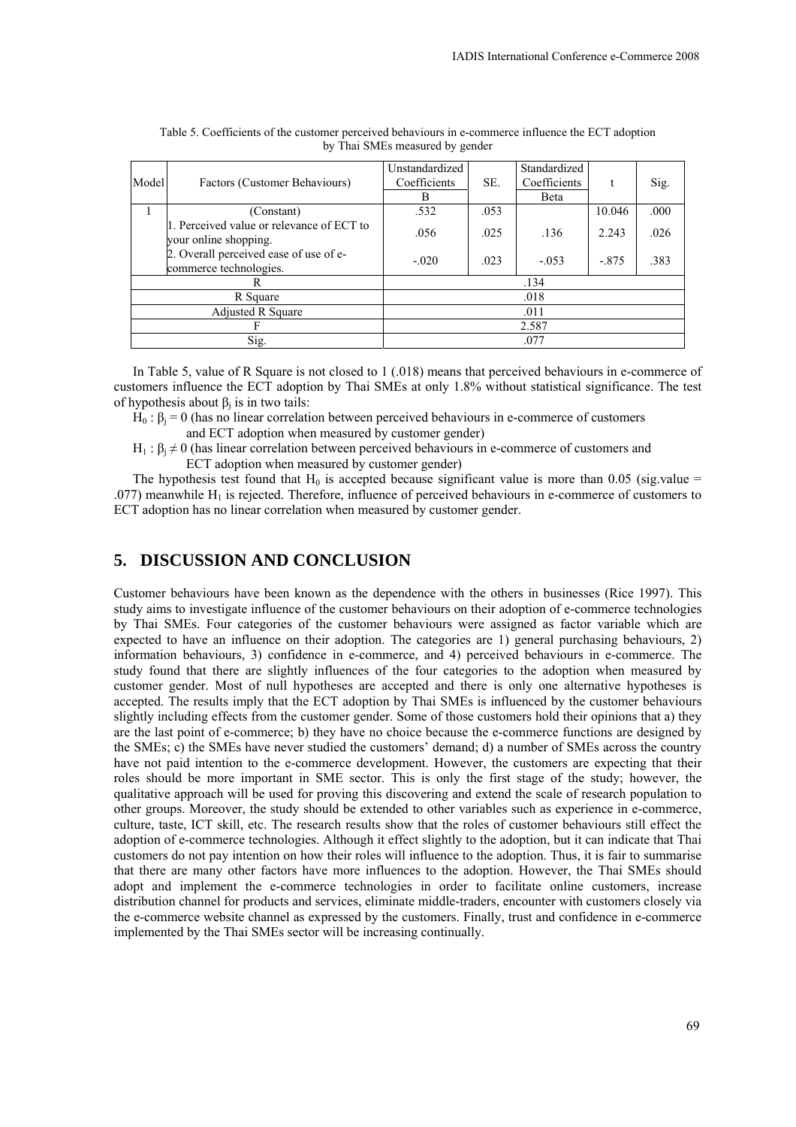| Model | Factors (Customer Behaviours)                                      | Unstandardized<br>Coefficients | SE.  | Standardized<br>Coefficients |         | Sig. |
|-------|--------------------------------------------------------------------|--------------------------------|------|------------------------------|---------|------|
|       |                                                                    | B                              |      | Beta                         |         |      |
|       | (Constant)                                                         | .532                           | .053 |                              | 10.046  | .000 |
|       | 1. Perceived value or relevance of ECT to<br>your online shopping. | .056                           | .025 | .136                         | 2.243   | .026 |
|       | 2. Overall perceived ease of use of e-<br>commerce technologies.   | $-.020$                        | .023 | $-.053$                      | $-.875$ | .383 |
|       |                                                                    |                                |      | .134                         |         |      |
|       | R Square                                                           |                                |      | .018                         |         |      |
|       | <b>Adjusted R Square</b>                                           |                                |      | .011                         |         |      |
|       |                                                                    |                                |      | 2.587                        |         |      |
|       | Sig.                                                               |                                |      | .077                         |         |      |

Table 5. Coefficients of the customer perceived behaviours in e-commerce influence the ECT adoption by Thai SMEs measured by gender

In Table 5, value of R Square is not closed to 1 (.018) means that perceived behaviours in e-commerce of customers influence the ECT adoption by Thai SMEs at only 1.8% without statistical significance. The test of hypothesis about  $β<sub>i</sub>$  is in two tails:

- $H_0$ : β<sub>i</sub> = 0 (has no linear correlation between perceived behaviours in e-commerce of customers and ECT adoption when measured by customer gender)
- $H_1$ :  $B_i \neq 0$  (has linear correlation between perceived behaviours in e-commerce of customers and ECT adoption when measured by customer gender)

The hypothesis test found that  $H_0$  is accepted because significant value is more than 0.05 (sig.value = .077) meanwhile  $H_1$  is rejected. Therefore, influence of perceived behaviours in e-commerce of customers to ECT adoption has no linear correlation when measured by customer gender.

# **5. DISCUSSION AND CONCLUSION**

Customer behaviours have been known as the dependence with the others in businesses (Rice 1997). This study aims to investigate influence of the customer behaviours on their adoption of e-commerce technologies by Thai SMEs. Four categories of the customer behaviours were assigned as factor variable which are expected to have an influence on their adoption. The categories are 1) general purchasing behaviours, 2) information behaviours, 3) confidence in e-commerce, and 4) perceived behaviours in e-commerce. The study found that there are slightly influences of the four categories to the adoption when measured by customer gender. Most of null hypotheses are accepted and there is only one alternative hypotheses is accepted. The results imply that the ECT adoption by Thai SMEs is influenced by the customer behaviours slightly including effects from the customer gender. Some of those customers hold their opinions that a) they are the last point of e-commerce; b) they have no choice because the e-commerce functions are designed by the SMEs; c) the SMEs have never studied the customers' demand; d) a number of SMEs across the country have not paid intention to the e-commerce development. However, the customers are expecting that their roles should be more important in SME sector. This is only the first stage of the study; however, the qualitative approach will be used for proving this discovering and extend the scale of research population to other groups. Moreover, the study should be extended to other variables such as experience in e-commerce, culture, taste, ICT skill, etc. The research results show that the roles of customer behaviours still effect the adoption of e-commerce technologies. Although it effect slightly to the adoption, but it can indicate that Thai customers do not pay intention on how their roles will influence to the adoption. Thus, it is fair to summarise that there are many other factors have more influences to the adoption. However, the Thai SMEs should adopt and implement the e-commerce technologies in order to facilitate online customers, increase distribution channel for products and services, eliminate middle-traders, encounter with customers closely via the e-commerce website channel as expressed by the customers. Finally, trust and confidence in e-commerce implemented by the Thai SMEs sector will be increasing continually.